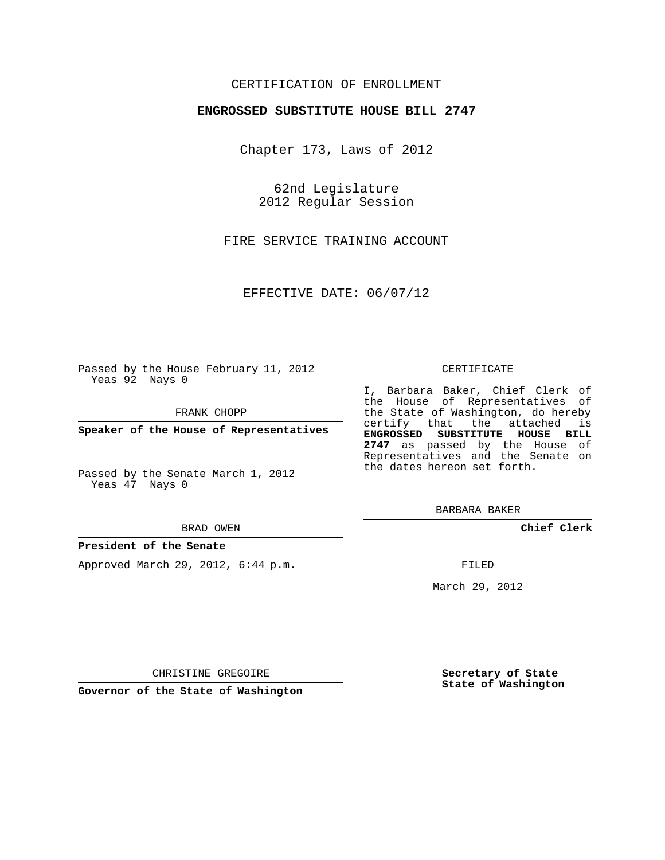## CERTIFICATION OF ENROLLMENT

### **ENGROSSED SUBSTITUTE HOUSE BILL 2747**

Chapter 173, Laws of 2012

62nd Legislature 2012 Regular Session

FIRE SERVICE TRAINING ACCOUNT

EFFECTIVE DATE: 06/07/12

Passed by the House February 11, 2012 Yeas 92 Nays 0

FRANK CHOPP

**Speaker of the House of Representatives**

Passed by the Senate March 1, 2012 Yeas 47 Nays 0

#### BRAD OWEN

#### **President of the Senate**

Approved March 29, 2012, 6:44 p.m.

#### CERTIFICATE

I, Barbara Baker, Chief Clerk of the House of Representatives of the State of Washington, do hereby certify that the attached is **ENGROSSED SUBSTITUTE HOUSE BILL 2747** as passed by the House of Representatives and the Senate on the dates hereon set forth.

BARBARA BAKER

**Chief Clerk**

FILED

March 29, 2012

**Secretary of State State of Washington**

CHRISTINE GREGOIRE

**Governor of the State of Washington**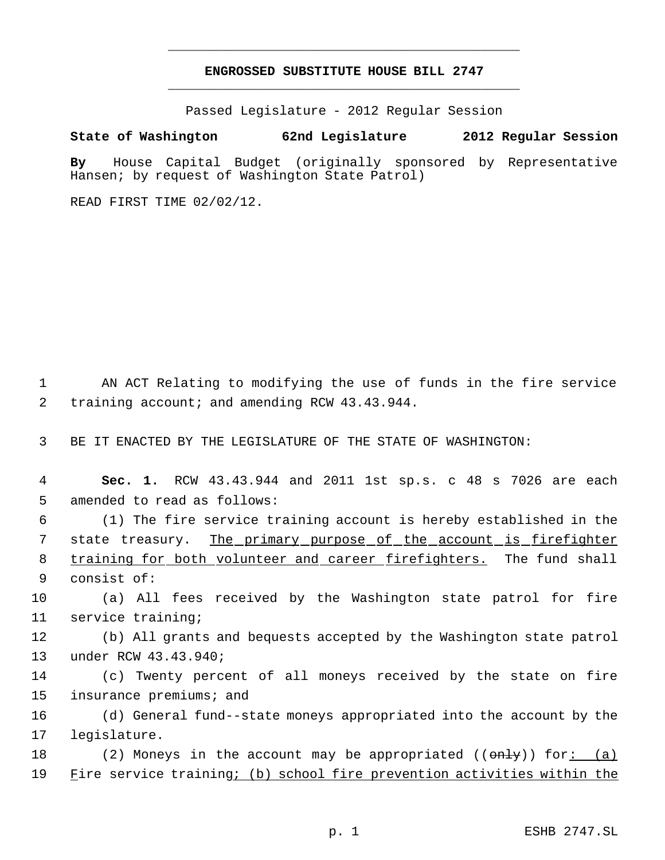# **ENGROSSED SUBSTITUTE HOUSE BILL 2747** \_\_\_\_\_\_\_\_\_\_\_\_\_\_\_\_\_\_\_\_\_\_\_\_\_\_\_\_\_\_\_\_\_\_\_\_\_\_\_\_\_\_\_\_\_

\_\_\_\_\_\_\_\_\_\_\_\_\_\_\_\_\_\_\_\_\_\_\_\_\_\_\_\_\_\_\_\_\_\_\_\_\_\_\_\_\_\_\_\_\_

Passed Legislature - 2012 Regular Session

## **State of Washington 62nd Legislature 2012 Regular Session**

**By** House Capital Budget (originally sponsored by Representative Hansen; by request of Washington State Patrol)

READ FIRST TIME 02/02/12.

 1 AN ACT Relating to modifying the use of funds in the fire service 2 training account; and amending RCW 43.43.944.

3 BE IT ENACTED BY THE LEGISLATURE OF THE STATE OF WASHINGTON:

 4 **Sec. 1.** RCW 43.43.944 and 2011 1st sp.s. c 48 s 7026 are each 5 amended to read as follows:

 6 (1) The fire service training account is hereby established in the 7 state treasury. The primary purpose of the account is firefighter 8 training for both volunteer and career firefighters. The fund shall 9 consist of:

10 (a) All fees received by the Washington state patrol for fire 11 service training;

12 (b) All grants and bequests accepted by the Washington state patrol 13 under RCW 43.43.940;

14 (c) Twenty percent of all moneys received by the state on fire 15 insurance premiums; and

16 (d) General fund--state moneys appropriated into the account by the 17 legislature.

18 (2) Moneys in the account may be appropriated (( $\theta$ nly)) for: (a) 19 Fire service training; (b) school fire prevention activities within the